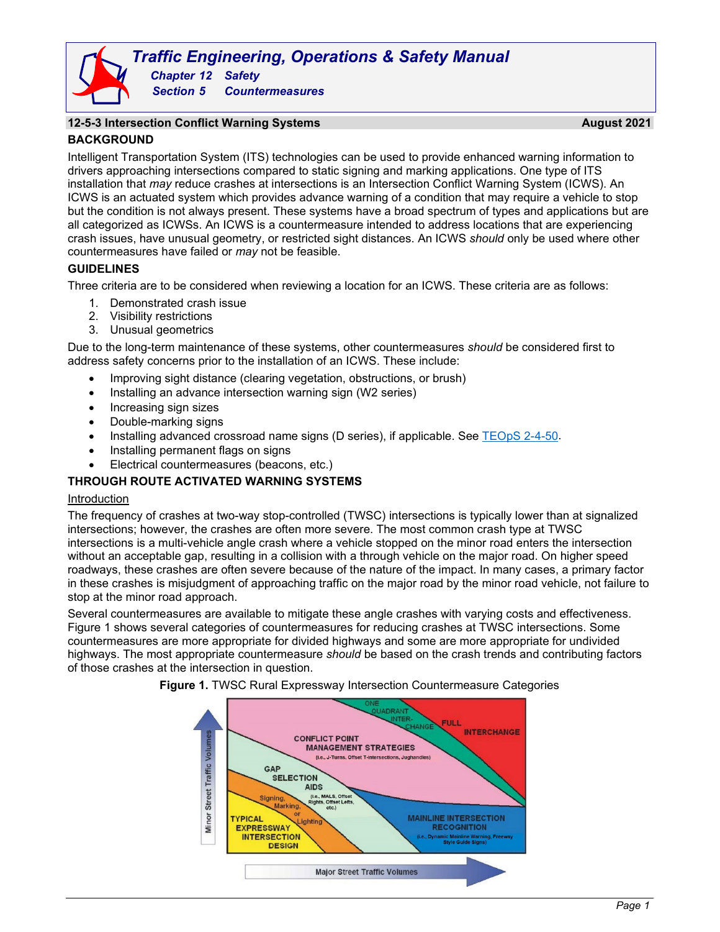# *Traffic Engineering, Operations & Safety Manual Chapter 12 Safety Section 5 Countermeasures*

# **12-5-3 Intersection Conflict Warning Systems August 2021 BACKGROUND**

Intelligent Transportation System (ITS) technologies can be used to provide enhanced warning information to drivers approaching intersections compared to static signing and marking applications. One type of ITS installation that *may* reduce crashes at intersections is an Intersection Conflict Warning System (ICWS). An ICWS is an actuated system which provides advance warning of a condition that may require a vehicle to stop but the condition is not always present. These systems have a broad spectrum of types and applications but are all categorized as ICWSs. An ICWS is a countermeasure intended to address locations that are experiencing crash issues, have unusual geometry, or restricted sight distances. An ICWS *should* only be used where other countermeasures have failed or *may* not be feasible.

# **GUIDELINES**

Three criteria are to be considered when reviewing a location for an ICWS. These criteria are as follows:

- 1. Demonstrated crash issue
- 2. Visibility restrictions
- 3. Unusual geometrics

Due to the long-term maintenance of these systems, other countermeasures *should* be considered first to address safety concerns prior to the installation of an ICWS. These include:

- Improving sight distance (clearing vegetation, obstructions, or brush)
- Installing an advance intersection warning sign (W2 series)
- Increasing sign sizes
- Double-marking signs
- Installing advanced crossroad name signs (D series), if applicable. See [TEOpS 2-4-50.](https://wisconsindot.gov/dtsdManuals/traffic-ops/manuals-and-standards/teops/02-04.pdf#2-4-50)
- Installing permanent flags on signs
- Electrical countermeasures (beacons, etc.)

# **THROUGH ROUTE ACTIVATED WARNING SYSTEMS**

#### Introduction

The frequency of crashes at two-way stop-controlled (TWSC) intersections is typically lower than at signalized intersections; however, the crashes are often more severe. The most common crash type at TWSC intersections is a multi-vehicle angle crash where a vehicle stopped on the minor road enters the intersection without an acceptable gap, resulting in a collision with a through vehicle on the major road. On higher speed roadways, these crashes are often severe because of the nature of the impact. In many cases, a primary factor in these crashes is misjudgment of approaching traffic on the major road by the minor road vehicle, not failure to stop at the minor road approach.

<span id="page-0-0"></span>Several countermeasures are available to mitigate these angle crashes with varying costs and effectiveness. [Figure 1](#page-0-0) shows several categories of countermeasures for reducing crashes at TWSC intersections. Some countermeasures are more appropriate for divided highways and some are more appropriate for undivided highways. The most appropriate countermeasure *should* be based on the crash trends and contributing factors of those crashes at the intersection in question.



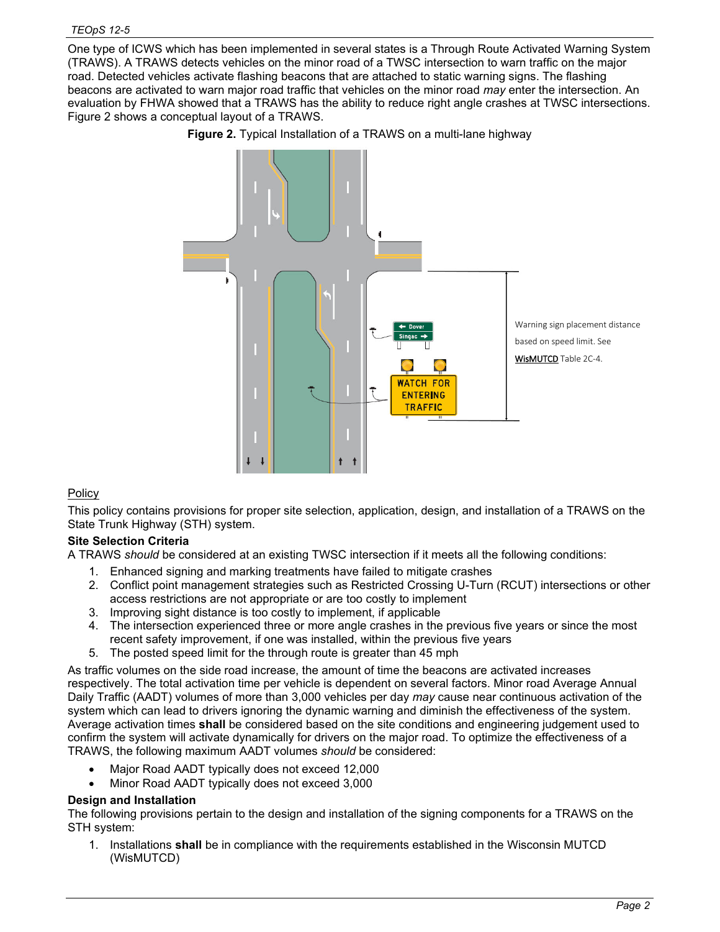<span id="page-1-0"></span>One type of ICWS which has been implemented in several states is a Through Route Activated Warning System (TRAWS). A TRAWS detects vehicles on the minor road of a TWSC intersection to warn traffic on the major road. Detected vehicles activate flashing beacons that are attached to static warning signs. The flashing beacons are activated to warn major road traffic that vehicles on the minor road *may* enter the intersection. An evaluation by FHWA showed that a TRAWS has the ability to reduce right angle crashes at TWSC intersections. [Figure 2](#page-1-0) shows a conceptual layout of a TRAWS.





# **Policy**

This policy contains provisions for proper site selection, application, design, and installation of a TRAWS on the State Trunk Highway (STH) system.

# **Site Selection Criteria**

A TRAWS *should* be considered at an existing TWSC intersection if it meets all the following conditions:

- 1. Enhanced signing and marking treatments have failed to mitigate crashes
- 2. Conflict point management strategies such as Restricted Crossing U-Turn (RCUT) intersections or other access restrictions are not appropriate or are too costly to implement
- 3. Improving sight distance is too costly to implement, if applicable
- 4. The intersection experienced three or more angle crashes in the previous five years or since the most recent safety improvement, if one was installed, within the previous five years
- 5. The posted speed limit for the through route is greater than 45 mph

As traffic volumes on the side road increase, the amount of time the beacons are activated increases respectively. The total activation time per vehicle is dependent on several factors. Minor road Average Annual Daily Traffic (AADT) volumes of more than 3,000 vehicles per day *may* cause near continuous activation of the system which can lead to drivers ignoring the dynamic warning and diminish the effectiveness of the system. Average activation times **shall** be considered based on the site conditions and engineering judgement used to confirm the system will activate dynamically for drivers on the major road. To optimize the effectiveness of a TRAWS, the following maximum AADT volumes *should* be considered:

- Major Road AADT typically does not exceed 12,000
- Minor Road AADT typically does not exceed 3,000

#### **Design and Installation**

The following provisions pertain to the design and installation of the signing components for a TRAWS on the STH system:

1. Installations **shall** be in compliance with the requirements established in the Wisconsin MUTCD (WisMUTCD)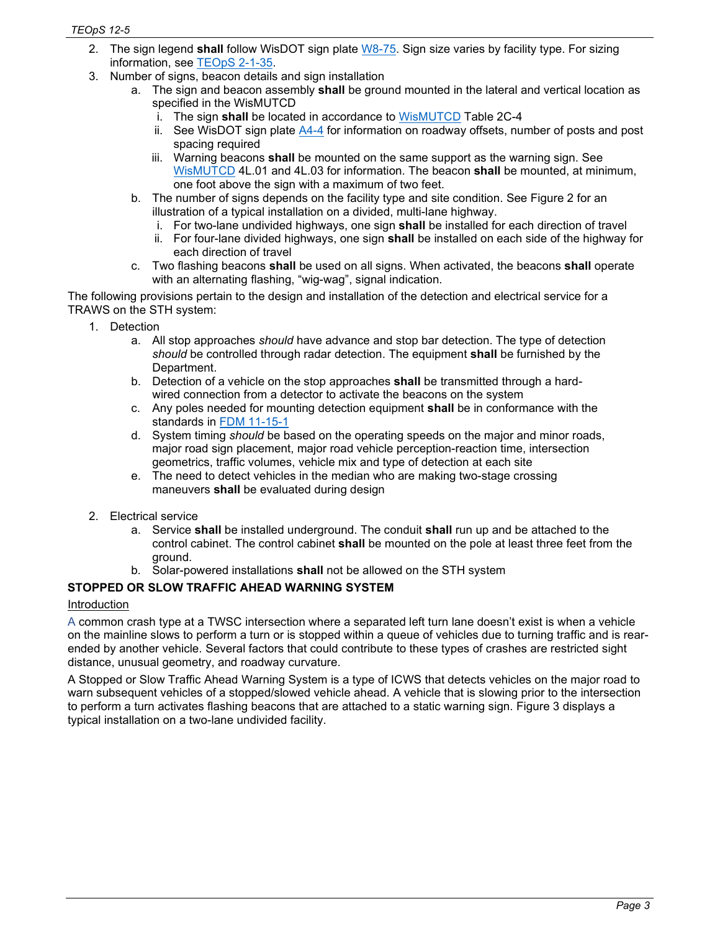- 2. The sign legend **shall** follow WisDOT sign plate [W8-75.](https://wisconsindot.gov/dtsdManuals/traffic-ops/manuals-and-standards/signplate/wseries/W8-75.pdf) Sign size varies by facility type. For sizing information, see [TEOpS 2-1-35.](https://wisconsindot.gov/dtsdManuals/traffic-ops/manuals-and-standards/teops/02-01.pdf#2-1-35)
- 3. Number of signs, beacon details and sign installation
	- a. The sign and beacon assembly **shall** be ground mounted in the lateral and vertical location as specified in the WisMUTCD
		- i. The sign **shall** be located in accordance to [WisMUTCD](https://wisconsindot.gov/dtsdManuals/traffic-ops/manuals-and-standards/wmutcd/mutcd-ch02c.pdf) Table 2C-4
		- ii. See WisDOT sign plate [A4-4](https://wisconsindot.gov/dtsdManuals/traffic-ops/manuals-and-standards/signplate/aseries/A4-4.pdf) for information on roadway offsets, number of posts and post spacing required
		- iii. Warning beacons **shall** be mounted on the same support as the warning sign. See [WisMUTCD](https://wisconsindot.gov/dtsdManuals/traffic-ops/manuals-and-standards/wmutcd/mutcd-ch04.pdf) 4L.01 and 4L.03 for information. The beacon **shall** be mounted, at minimum, one foot above the sign with a maximum of two feet.
	- b. The number of signs depends on the facility type and site condition. See Figure 2 for an illustration of a typical installation on a divided, multi-lane highway.
		- i. For two-lane undivided highways, one sign **shall** be installed for each direction of travel
		- ii. For four-lane divided highways, one sign **shall** be installed on each side of the highway for each direction of travel
	- c. Two flashing beacons **shall** be used on all signs. When activated, the beacons **shall** operate with an alternating flashing, "wig-wag", signal indication.

The following provisions pertain to the design and installation of the detection and electrical service for a TRAWS on the STH system:

- 1. Detection
	- a. All stop approaches *should* have advance and stop bar detection. The type of detection *should* be controlled through radar detection. The equipment **shall** be furnished by the Department.
	- b. Detection of a vehicle on the stop approaches **shall** be transmitted through a hardwired connection from a detector to activate the beacons on the system
	- c. Any poles needed for mounting detection equipment **shall** be in conformance with the standards in [FDM 11-15-1](http://wisconsindot.gov/rdwy/fdm/fd-11-15.pdf)
	- d. System timing *should* be based on the operating speeds on the major and minor roads, major road sign placement, major road vehicle perception-reaction time, intersection geometrics, traffic volumes, vehicle mix and type of detection at each site
	- e. The need to detect vehicles in the median who are making two-stage crossing maneuvers **shall** be evaluated during design
- 2. Electrical service
	- a. Service **shall** be installed underground. The conduit **shall** run up and be attached to the control cabinet. The control cabinet **shall** be mounted on the pole at least three feet from the ground.
	- b. Solar-powered installations **shall** not be allowed on the STH system

# **STOPPED OR SLOW TRAFFIC AHEAD WARNING SYSTEM**

#### Introduction

A common crash type at a TWSC intersection where a separated left turn lane doesn't exist is when a vehicle on the mainline slows to perform a turn or is stopped within a queue of vehicles due to turning traffic and is rearended by another vehicle. Several factors that could contribute to these types of crashes are restricted sight distance, unusual geometry, and roadway curvature.

A Stopped or Slow Traffic Ahead Warning System is a type of ICWS that detects vehicles on the major road to warn subsequent vehicles of a stopped/slowed vehicle ahead. A vehicle that is slowing prior to the intersection to perform a turn activates flashing beacons that are attached to a static warning sign. Figure 3 displays a typical installation on a two-lane undivided facility.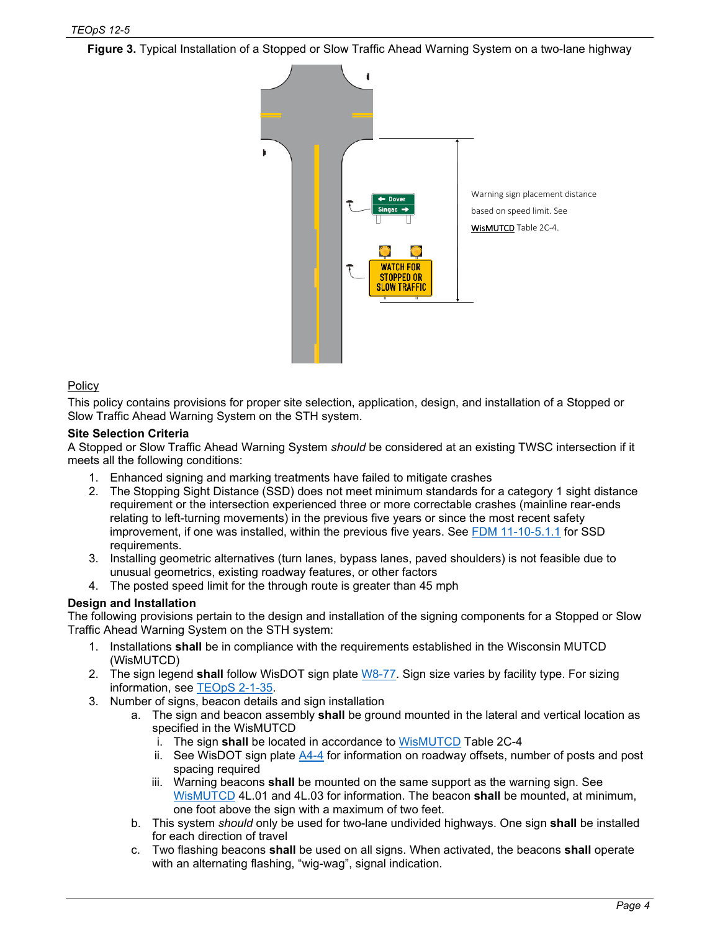**Figure 3.** Typical Installation of a Stopped or Slow Traffic Ahead Warning System on a two-lane highway



### **Policy**

This policy contains provisions for proper site selection, application, design, and installation of a Stopped or Slow Traffic Ahead Warning System on the STH system.

#### **Site Selection Criteria**

A Stopped or Slow Traffic Ahead Warning System *should* be considered at an existing TWSC intersection if it meets all the following conditions:

- 1. Enhanced signing and marking treatments have failed to mitigate crashes
- 2. The Stopping Sight Distance (SSD) does not meet minimum standards for a category 1 sight distance requirement or the intersection experienced three or more correctable crashes (mainline rear-ends relating to left-turning movements) in the previous five years or since the most recent safety improvement, if one was installed, within the previous five years. See [FDM 11-10-5.1.1](https://wisconsindot.gov/rdwy/fdm/fd-11-10.pdf#fd11-10-5) for SSD requirements.
- 3. Installing geometric alternatives (turn lanes, bypass lanes, paved shoulders) is not feasible due to unusual geometrics, existing roadway features, or other factors
- 4. The posted speed limit for the through route is greater than 45 mph

#### **Design and Installation**

The following provisions pertain to the design and installation of the signing components for a Stopped or Slow Traffic Ahead Warning System on the STH system:

- 1. Installations **shall** be in compliance with the requirements established in the Wisconsin MUTCD (WisMUTCD)
- 2. The sign legend **shall** follow WisDOT sign plate [W8-77.](https://wisconsindot.gov/dtsdManuals/traffic-ops/manuals-and-standards/signplate/wseries/W8-77.pdf) Sign size varies by facility type. For sizing information, see [TEOpS 2-1-35.](https://wisconsindot.gov/dtsdManuals/traffic-ops/manuals-and-standards/teops/02-01.pdf#2-1-35)
- 3. Number of signs, beacon details and sign installation
	- a. The sign and beacon assembly **shall** be ground mounted in the lateral and vertical location as specified in the WisMUTCD
		- i. The sign **shall** be located in accordance to [WisMUTCD](https://wisconsindot.gov/dtsdManuals/traffic-ops/manuals-and-standards/wmutcd/mutcd-ch02c.pdf) Table 2C-4
		- ii. See WisDOT sign plate [A4-4](https://wisconsindot.gov/dtsdManuals/traffic-ops/manuals-and-standards/signplate/aseries/A4-4.pdf) for information on roadway offsets, number of posts and post spacing required
		- iii. Warning beacons **shall** be mounted on the same support as the warning sign. See [WisMUTCD](https://wisconsindot.gov/dtsdManuals/traffic-ops/manuals-and-standards/wmutcd/mutcd-ch04.pdf) 4L.01 and 4L.03 for information. The beacon **shall** be mounted, at minimum, one foot above the sign with a maximum of two feet.
	- b. This system *should* only be used for two-lane undivided highways. One sign **shall** be installed for each direction of travel
	- c. Two flashing beacons **shall** be used on all signs. When activated, the beacons **shall** operate with an alternating flashing, "wig-wag", signal indication.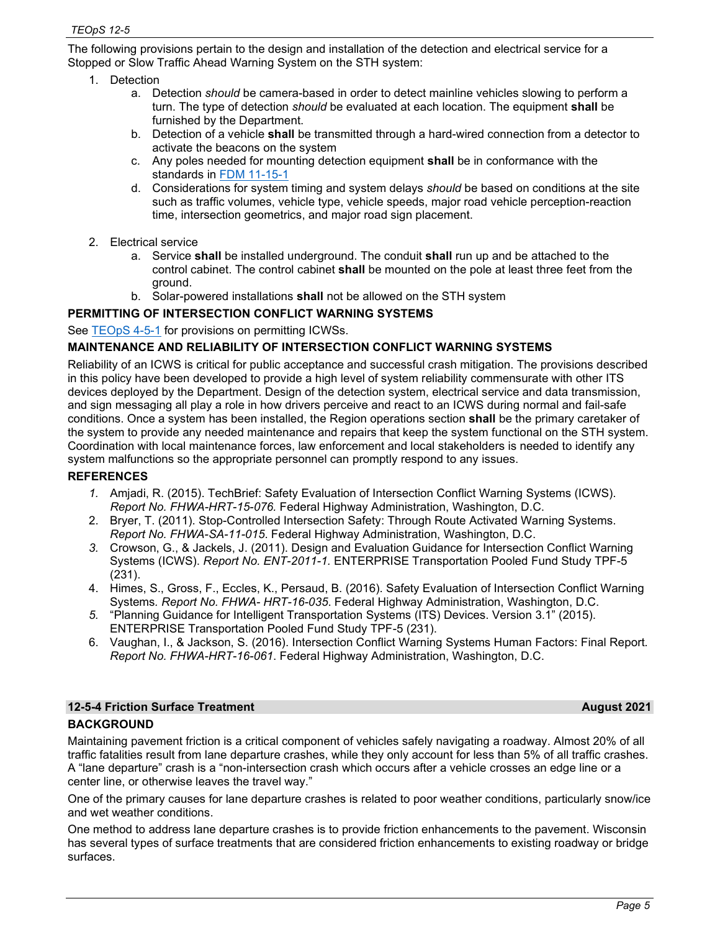The following provisions pertain to the design and installation of the detection and electrical service for a Stopped or Slow Traffic Ahead Warning System on the STH system:

- 1. Detection
	- a. Detection *should* be camera-based in order to detect mainline vehicles slowing to perform a turn. The type of detection *should* be evaluated at each location. The equipment **shall** be furnished by the Department.
	- b. Detection of a vehicle **shall** be transmitted through a hard-wired connection from a detector to activate the beacons on the system
	- c. Any poles needed for mounting detection equipment **shall** be in conformance with the standards in [FDM 11-15-1](http://wisconsindot.gov/rdwy/fdm/fd-11-15.pdf)
	- d. Considerations for system timing and system delays *should* be based on conditions at the site such as traffic volumes, vehicle type, vehicle speeds, major road vehicle perception-reaction time, intersection geometrics, and major road sign placement.
- 2. Electrical service
	- a. Service **shall** be installed underground. The conduit **shall** run up and be attached to the control cabinet. The control cabinet **shall** be mounted on the pole at least three feet from the ground.
	- b. Solar-powered installations **shall** not be allowed on the STH system

# **PERMITTING OF INTERSECTION CONFLICT WARNING SYSTEMS**

See **TEOpS 4-5-1** for provisions on permitting ICWSs.

### **MAINTENANCE AND RELIABILITY OF INTERSECTION CONFLICT WARNING SYSTEMS**

Reliability of an ICWS is critical for public acceptance and successful crash mitigation. The provisions described in this policy have been developed to provide a high level of system reliability commensurate with other ITS devices deployed by the Department. Design of the detection system, electrical service and data transmission, and sign messaging all play a role in how drivers perceive and react to an ICWS during normal and fail-safe conditions. Once a system has been installed, the Region operations section **shall** be the primary caretaker of the system to provide any needed maintenance and repairs that keep the system functional on the STH system. Coordination with local maintenance forces, law enforcement and local stakeholders is needed to identify any system malfunctions so the appropriate personnel can promptly respond to any issues.

#### **REFERENCES**

- *1.* Amjadi, R. (2015). TechBrief: Safety Evaluation of Intersection Conflict Warning Systems (ICWS). *Report No. FHWA-HRT-15-076.* Federal Highway Administration, Washington, D.C.
- 2. Bryer, T. (2011). Stop-Controlled Intersection Safety: Through Route Activated Warning Systems. *Report No. FHWA-SA-11-015*. Federal Highway Administration, Washington, D.C.
- *3.* Crowson, G., & Jackels, J. (2011). Design and Evaluation Guidance for Intersection Conflict Warning Systems (ICWS). *Report No. ENT-2011-1.* ENTERPRISE Transportation Pooled Fund Study TPF-5 (231).
- 4. Himes, S., Gross, F., Eccles, K., Persaud, B. (2016). Safety Evaluation of Intersection Conflict Warning Systems*. Report No. FHWA- HRT-16-035*. Federal Highway Administration, Washington, D.C.
- *5.* "Planning Guidance for Intelligent Transportation Systems (ITS) Devices. Version 3.1" (2015). ENTERPRISE Transportation Pooled Fund Study TPF-5 (231).
- 6. Vaughan, I., & Jackson, S. (2016). Intersection Conflict Warning Systems Human Factors: Final Report*. Report No. FHWA-HRT-16-061*. Federal Highway Administration, Washington, D.C.

# **12-5-4 Friction Surface Treatment August 2021 BACKGROUND**

Maintaining pavement friction is a critical component of vehicles safely navigating a roadway. Almost 20% of all traffic fatalities result from lane departure crashes, while they only account for less than 5% of all traffic crashes. A "lane departure" crash is a "non-intersection crash which occurs after a vehicle crosses an edge line or a center line, or otherwise leaves the travel way."

One of the primary causes for lane departure crashes is related to poor weather conditions, particularly snow/ice and wet weather conditions.

One method to address lane departure crashes is to provide friction enhancements to the pavement. Wisconsin has several types of surface treatments that are considered friction enhancements to existing roadway or bridge surfaces.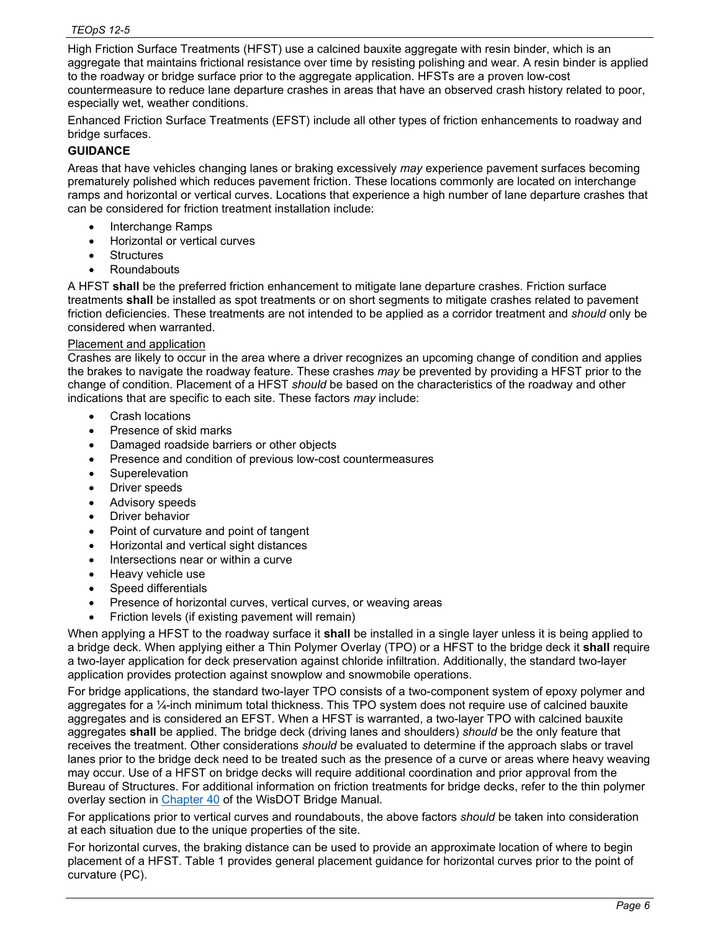High Friction Surface Treatments (HFST) use a calcined bauxite aggregate with resin binder, which is an aggregate that maintains frictional resistance over time by resisting polishing and wear. A resin binder is applied to the roadway or bridge surface prior to the aggregate application. HFSTs are a proven low-cost countermeasure to reduce lane departure crashes in areas that have an observed crash history related to poor, especially wet, weather conditions.

Enhanced Friction Surface Treatments (EFST) include all other types of friction enhancements to roadway and bridge surfaces.

# **GUIDANCE**

Areas that have vehicles changing lanes or braking excessively *may* experience pavement surfaces becoming prematurely polished which reduces pavement friction. These locations commonly are located on interchange ramps and horizontal or vertical curves. Locations that experience a high number of lane departure crashes that can be considered for friction treatment installation include:

- Interchange Ramps
- Horizontal or vertical curves
- **Structures**
- Roundabouts

A HFST **shall** be the preferred friction enhancement to mitigate lane departure crashes. Friction surface treatments **shall** be installed as spot treatments or on short segments to mitigate crashes related to pavement friction deficiencies. These treatments are not intended to be applied as a corridor treatment and *should* only be considered when warranted.

#### Placement and application

Crashes are likely to occur in the area where a driver recognizes an upcoming change of condition and applies the brakes to navigate the roadway feature. These crashes *may* be prevented by providing a HFST prior to the change of condition. Placement of a HFST *should* be based on the characteristics of the roadway and other indications that are specific to each site. These factors *may* include:

- Crash locations
- Presence of skid marks
- Damaged roadside barriers or other objects
- Presence and condition of previous low-cost countermeasures
- Superelevation
- Driver speeds
- Advisory speeds
- Driver behavior
- Point of curvature and point of tangent
- Horizontal and vertical sight distances
- Intersections near or within a curve
- Heavy vehicle use
- Speed differentials
- Presence of horizontal curves, vertical curves, or weaving areas
- Friction levels (if existing pavement will remain)

When applying a HFST to the roadway surface it **shall** be installed in a single layer unless it is being applied to a bridge deck. When applying either a Thin Polymer Overlay (TPO) or a HFST to the bridge deck it **shall** require a two-layer application for deck preservation against chloride infiltration. Additionally, the standard two-layer application provides protection against snowplow and snowmobile operations.

For bridge applications, the standard two-layer TPO consists of a two-component system of epoxy polymer and aggregates for a ¼-inch minimum total thickness. This TPO system does not require use of calcined bauxite aggregates and is considered an EFST. When a HFST is warranted, a two-layer TPO with calcined bauxite aggregates **shall** be applied. The bridge deck (driving lanes and shoulders) *should* be the only feature that receives the treatment. Other considerations *should* be evaluated to determine if the approach slabs or travel lanes prior to the bridge deck need to be treated such as the presence of a curve or areas where heavy weaving may occur. Use of a HFST on bridge decks will require additional coordination and prior approval from the Bureau of Structures. For additional information on friction treatments for bridge decks, refer to the thin polymer overlay section in [Chapter 40](https://wisconsindot.gov/dtsdManuals/strct/manuals/bridge/ch40.pdf) of the WisDOT Bridge Manual.

For applications prior to vertical curves and roundabouts, the above factors *should* be taken into consideration at each situation due to the unique properties of the site.

For horizontal curves, the braking distance can be used to provide an approximate location of where to begin placement of a HFST. Table 1 provides general placement guidance for horizontal curves prior to the point of curvature (PC).